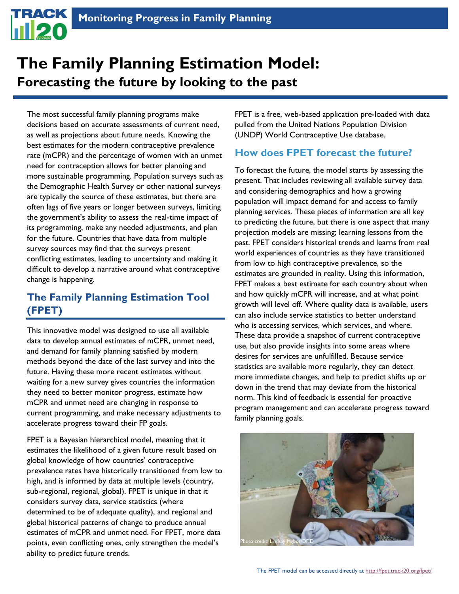# **The Family Planning Estimation Model: Forecasting the future by looking to the past**

The most successful family planning programs make decisions based on accurate assessments of current need, as well as projections about future needs. Knowing the best estimates for the modern contraceptive prevalence rate (mCPR) and the percentage of women with an unmet need for contraception allows for better planning and more sustainable programming. Population surveys such as the Demographic Health Survey or other national surveys are typically the source of these estimates, but there are often lags of five years or longer between surveys, limiting the government's ability to assess the real-time impact of its programming, make any needed adjustments, and plan for the future. Countries that have data from multiple survey sources may find that the surveys present conflicting estimates, leading to uncertainty and making it difficult to develop a narrative around what contraceptive change is happening.

# **The Family Planning Estimation Tool (FPET)**

This innovative model was designed to use all available data to develop annual estimates of mCPR, unmet need, and demand for family planning satisfied by modern methods beyond the date of the last survey and into the future. Having these more recent estimates without waiting for a new survey gives countries the information they need to better monitor progress, estimate how mCPR and unmet need are changing in response to current programming, and make necessary adjustments to accelerate progress toward their FP goals.

FPET is a Bayesian hierarchical model, meaning that it estimates the likelihood of a given future result based on global knowledge of how countries' contraceptive prevalence rates have historically transitioned from low to high, and is informed by data at multiple levels (country, sub-regional, regional, global). FPET is unique in that it considers survey data, service statistics (where determined to be of adequate quality), and regional and global historical patterns of change to produce annual estimates of mCPR and unmet need. For FPET, more data points, even conflicting ones, only strengthen the model's ability to predict future trends.

FPET is a free, web-based application pre-loaded with data pulled from the United Nations Population Division (UNDP) World Contraceptive Use database.

# **How does FPET forecast the future?**

To forecast the future, the model starts by assessing the present. That includes reviewing all available survey data and considering demographics and how a growing population will impact demand for and access to family planning services. These pieces of information are all key to predicting the future, but there is one aspect that many projection models are missing; learning lessons from the past. FPET considers historical trends and learns from real world experiences of countries as they have transitioned from low to high contraceptive prevalence, so the estimates are grounded in reality. Using this information, FPET makes a best estimate for each country about when and how quickly mCPR will increase, and at what point growth will level off. Where quality data is available, users can also include service statistics to better understand who is accessing services, which services, and where. These data provide a snapshot of current contraceptive use, but also provide insights into some areas where desires for services are unfulfilled. Because service statistics are available more regularly, they can detect more immediate changes, and help to predict shifts up or down in the trend that may deviate from the historical norm. This kind of feedback is essential for proactive program management and can accelerate progress toward family planning goals.

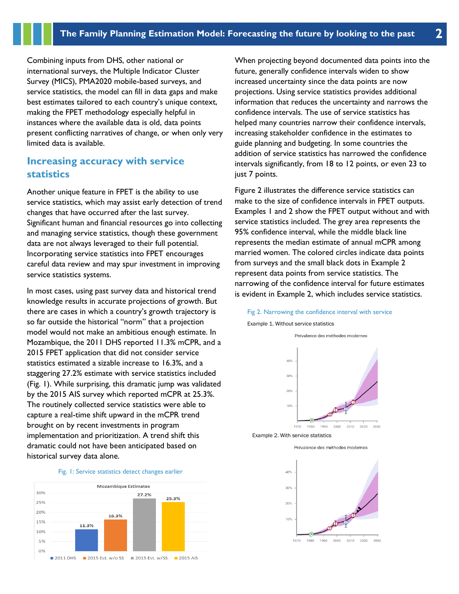Combining inputs from DHS, other national or international surveys, the Multiple Indicator Cluster Survey (MICS), PMA2020 mobile-based surveys, and service statistics, the model can fill in data gaps and make best estimates tailored to each country's unique context, making the FPET methodology especially helpful in instances where the available data is old, data points present conflicting narratives of change, or when only very limited data is available.

# **Increasing accuracy with service statistics**

Another unique feature in FPET is the ability to use service statistics, which may assist early detection of trend changes that have occurred after the last survey. Significant human and financial resources go into collecting and managing service statistics, though these government data are not always leveraged to their full potential. Incorporating service statistics into FPET encourages careful data review and may spur investment in improving service statistics systems.

In most cases, using past survey data and historical trend knowledge results in accurate projections of growth. But there are cases in which a country's growth trajectory is so far outside the historical "norm" that a projection model would not make an ambitious enough estimate. In Mozambique, the 2011 DHS reported 11.3% mCPR, and a 2015 FPET application that did not consider service statistics estimated a sizable increase to 16.3%, and a staggering 27.2% estimate with service statistics included (Fig. 1). While surprising, this dramatic jump was validated by the 2015 AIS survey which reported mCPR at 25.3%. The routinely collected service statistics were able to capture a real-time shift upward in the mCPR trend brought on by recent investments in program implementation and prioritization. A trend shift this dramatic could not have been anticipated based on historical survey data alone.



2015 Est. w/SS

2015 AIS

 $\blacksquare$  2015 Est. w/o SS

0%

2011 DHS

When projecting beyond documented data points into the future, generally confidence intervals widen to show increased uncertainty since the data points are now projections. Using service statistics provides additional information that reduces the uncertainty and narrows the confidence intervals. The use of service statistics has helped many countries narrow their confidence intervals, increasing stakeholder confidence in the estimates to guide planning and budgeting. In some countries the addition of service statistics has narrowed the confidence intervals significantly, from 18 to 12 points, or even 23 to just 7 points.

Figure 2 illustrates the difference service statistics can make to the size of confidence intervals in FPET outputs. Examples 1 and 2 show the FPET output without and with service statistics included. The grey area represents the 95% confidence interval, while the middle black line represents the median estimate of annual mCPR among married women. The colored circles indicate data points from surveys and the small black dots in Example 2 represent data points from service statistics. The narrowing of the confidence interval for future estimates is evident in Example 2, which includes service statistics.





Example 2. With service statistics



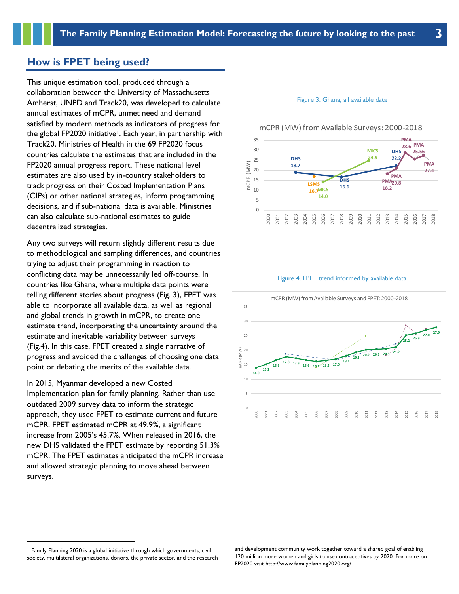### **How is FPET being used?**

This unique estimation tool, produced through a collaboration between the University of Massachusetts Amherst, UNPD and Track20, was developed to calculate annual estimates of mCPR, unmet need and demand satisfied by modern methods as indicators of progress for the global FP2020 initiative<sup>1</sup>. Each year, in partnership with Track20, Ministries of Health in the 69 FP2020 focus countries calculate the estimates that are included in the FP2020 annual progress report. These national level estimates are also used by in-country stakeholders to track progress on their Costed Implementation Plans (CIPs) or other national strategies, inform programming decisions, and if sub-national data is available, Ministries can also calculate sub-national estimates to guide decentralized strategies.

Any two surveys will return slightly different results due to methodological and sampling differences, and countries trying to adjust their programming in reaction to conflicting data may be unnecessarily led off-course. In countries like Ghana, where multiple data points were telling different stories about progress (Fig. 3), FPET was able to incorporate all available data, as well as regional and global trends in growth in mCPR, to create one estimate trend, incorporating the uncertainty around the estimate and inevitable variability between surveys (Fig.4). In this case, FPET created a single narrative of progress and avoided the challenges of choosing one data point or debating the merits of the available data.

In 2015, Myanmar developed a new Costed Implementation plan for family planning. Rather than use outdated 2009 survey data to inform the strategic approach, they used FPET to estimate current and future mCPR. FPET estimated mCPR at 49.9%, a significant increase from 2005's 45.7%. When released in 2016, the new DHS validated the FPET estimate by reporting 51.3% mCPR. The FPET estimates anticipated the mCPR increase and allowed strategic planning to move ahead between surveys.

#### Figure 3. Ghana, all available data



#### Figure 4. FPET trend informed by available data



and development community work together toward a shared goal of enabling 120 million more women and girls to use contraceptives by 2020. For more on FP2020 visit http://www.familyplanning2020.org/

<sup>&</sup>lt;sup>1</sup> Family Planning 2020 is a global initiative through which governments, civil society, multilateral organizations, donors, the private sector, and the research